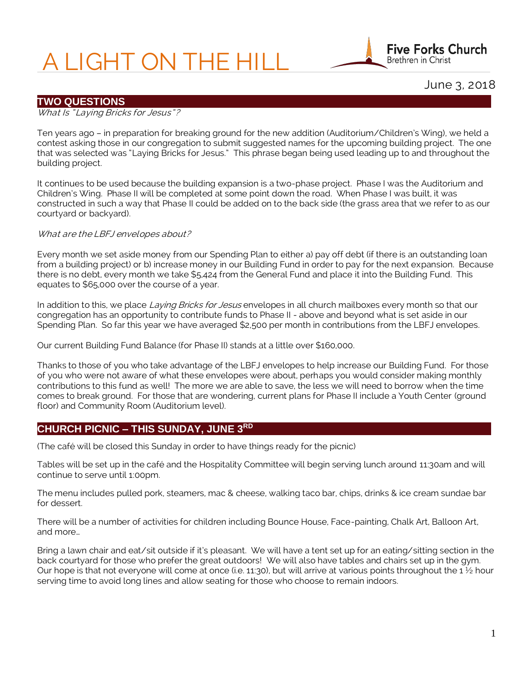# A LIGHT ON THE HILL



June 3, 2018

#### **TWO QUESTIONS**

What Is "Laying Bricks for Jesus"?

Ten years ago – in preparation for breaking ground for the new addition (Auditorium/Children's Wing), we held a contest asking those in our congregation to submit suggested names for the upcoming building project. The one that was selected was "Laying Bricks for Jesus." This phrase began being used leading up to and throughout the building project.

It continues to be used because the building expansion is a two-phase project. Phase I was the Auditorium and Children's Wing. Phase II will be completed at some point down the road. When Phase I was built, it was constructed in such a way that Phase II could be added on to the back side (the grass area that we refer to as our courtyard or backyard).

#### What are the LBFJ envelopes about?

Every month we set aside money from our Spending Plan to either a) pay off debt (if there is an outstanding loan from a building project) or b) increase money in our Building Fund in order to pay for the next expansion. Because there is no debt, every month we take \$5,424 from the General Fund and place it into the Building Fund. This equates to \$65,000 over the course of a year.

In addition to this, we place Laying Bricks for Jesus envelopes in all church mailboxes every month so that our congregation has an opportunity to contribute funds to Phase II - above and beyond what is set aside in our Spending Plan. So far this year we have averaged \$2,500 per month in contributions from the LBFJ envelopes.

Our current Building Fund Balance (for Phase II) stands at a little over \$160,000.

Thanks to those of you who take advantage of the LBFJ envelopes to help increase our Building Fund. For those of you who were not aware of what these envelopes were about, perhaps you would consider making monthly contributions to this fund as well! The more we are able to save, the less we will need to borrow when the time comes to break ground. For those that are wondering, current plans for Phase II include a Youth Center (ground floor) and Community Room (Auditorium level).

## **CHURCH PICNIC – THIS SUNDAY, JUNE 3RD**

(The café will be closed this Sunday in order to have things ready for the picnic)

Tables will be set up in the café and the Hospitality Committee will begin serving lunch around 11:30am and will continue to serve until 1:00pm.

The menu includes pulled pork, steamers, mac & cheese, walking taco bar, chips, drinks & ice cream sundae bar for dessert.

There will be a number of activities for children including Bounce House, Face-painting, Chalk Art, Balloon Art, and more…

Bring a lawn chair and eat/sit outside if it's pleasant. We will have a tent set up for an eating/sitting section in the back courtyard for those who prefer the great outdoors! We will also have tables and chairs set up in the gym. Our hope is that not everyone will come at once (i.e. 11:30), but will arrive at various points throughout the 1  $\frac{1}{2}$  hour serving time to avoid long lines and allow seating for those who choose to remain indoors.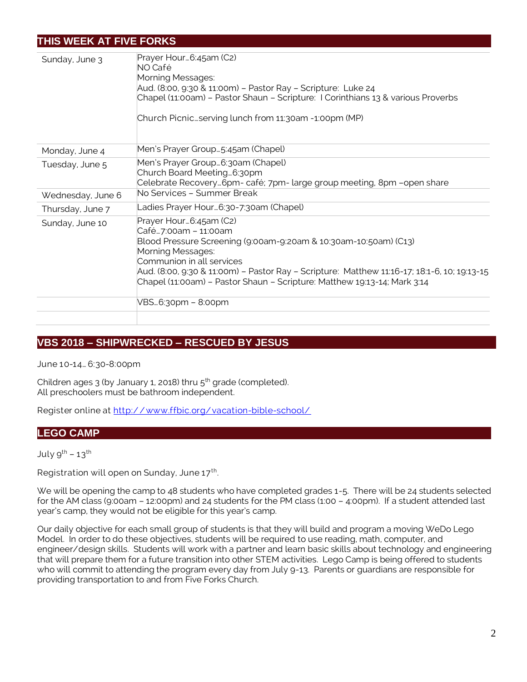# **THIS WEEK AT FIVE FORKS**

| Sunday, June 3    | Prayer Hour6:45am (C2)<br>NO Café<br>Morning Messages:<br>Aud. (8:00, 9:30 & 11:00m) - Pastor Ray - Scripture: Luke 24<br>Chapel (11:00am) - Pastor Shaun - Scripture: I Corinthians 13 & various Proverbs<br>Church Picnicserving lunch from 11:30am -1:00pm (MP)                                                                               |
|-------------------|--------------------------------------------------------------------------------------------------------------------------------------------------------------------------------------------------------------------------------------------------------------------------------------------------------------------------------------------------|
| Monday, June 4    | Men's Prayer Group5:45am (Chapel)                                                                                                                                                                                                                                                                                                                |
| Tuesday, June 5   | Men's Prayer Group 6:30am (Chapel)<br>Church Board Meeting 6:30pm<br>Celebrate Recovery6pm- café; 7pm- large group meeting, 8pm -open share                                                                                                                                                                                                      |
| Wednesday, June 6 | No Services - Summer Break                                                                                                                                                                                                                                                                                                                       |
| Thursday, June 7  | Ladies Prayer Hour 6:30-7:30am (Chapel)                                                                                                                                                                                                                                                                                                          |
| Sunday, June 10   | Prayer Hour 6:45am (C2)<br>Café7:00am - 11:00am<br>Blood Pressure Screening (9:00am-9:20am & 10:30am-10:50am) (C13)<br>Morning Messages:<br>Communion in all services<br>Aud. (8:00, 9:30 & 11:00m) – Pastor Ray – Scripture: Matthew 11:16-17; 18:1-6, 10; 19:13-15<br>Chapel (11:00am) - Pastor Shaun - Scripture: Matthew 19:13-14; Mark 3:14 |
|                   | VBS6:30pm - 8:00pm                                                                                                                                                                                                                                                                                                                               |

# **VBS 2018 – SHIPWRECKED – RESCUED BY JESUS**

June 10-14… 6:30-8:00pm

Children ages 3 (by January 1, 2018) thru  $5<sup>th</sup>$  grade (completed). All preschoolers must be bathroom independent.

Register online at http://www.ffbic.org/vacation-bible-school/

## **LEGO CAMP**

July  $9^{th}$  – 13<sup>th</sup>

Registration will open on Sunday, June  $17^{th}$ . .

We will be opening the camp to 48 students who have completed grades 1-5. There will be 24 students selected for the AM class (9:00am – 12:00pm) and 24 students for the PM class (1:00 – 4:00pm). If a student attended last year's camp, they would not be eligible for this year's camp.

Our daily objective for each small group of students is that they will build and program a moving WeDo Lego Model. In order to do these objectives, students will be required to use reading, math, computer, and engineer/design skills. Students will work with a partner and learn basic skills about technology and engineering that will prepare them for a future transition into other STEM activities. Lego Camp is being offered to students who will commit to attending the program every day from July 9-13. Parents or guardians are responsible for providing transportation to and from Five Forks Church.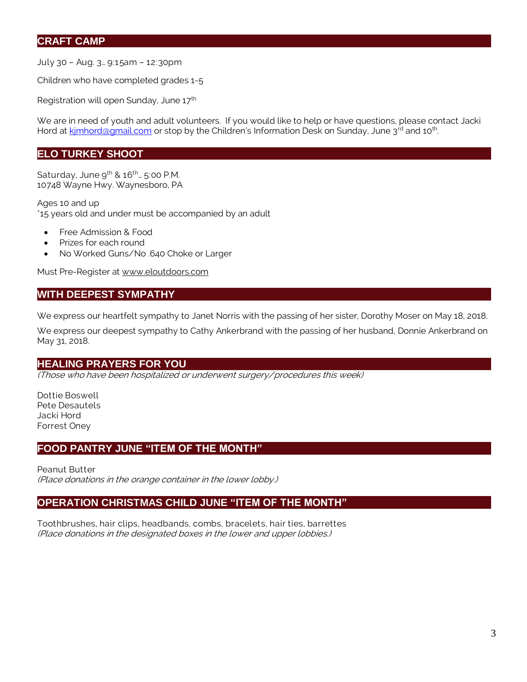## **CRAFT CAMP**

July 30 – Aug. 3… 9:15am – 12:30pm

Children who have completed grades 1-5

Registration will open Sunday, June 17<sup>th</sup>

We are in need of youth and adult volunteers. If you would like to help or have questions, please contact Jacki Hord at kimhord@gmail.com or stop by the Children's Information Desk on Sunday, June 3<sup>rd</sup> and 10<sup>th</sup>. .

## **ELO TURKEY SHOOT**

Saturday, June  $9^{th}$  &  $16^{th}$ ... 5:00 P.M. 10748 Wayne Hwy. Waynesboro, PA

Ages 10 and up \*15 years old and under must be accompanied by an adult

- Free Admission & Food
- Prizes for each round
- No Worked Guns/No .640 Choke or Larger

Must Pre-Register at [www.eloutdoors.com](http://www.eloutdoors.com/)

# **WITH DEEPEST SYMPATHY**

We express our heartfelt sympathy to Janet Norris with the passing of her sister, Dorothy Moser on May 18, 2018.

We express our deepest sympathy to Cathy Ankerbrand with the passing of her husband, Donnie Ankerbrand on May 31, 2018.

## **HEALING PRAYERS FOR YOU**

(Those who have been hospitalized or underwent surgery/procedures this week)

Dottie Boswell Pete Desautels Jacki Hord Forrest Oney

## **FOOD PANTRY JUNE "ITEM OF THE MONTH"**

Peanut Butter (Place donations in the orange container in the lower lobby.)

## **OPERATION CHRISTMAS CHILD JUNE "ITEM OF THE MONTH"**

Toothbrushes, hair clips, headbands, combs, bracelets, hair ties, barrettes (Place donations in the designated boxes in the lower and upper lobbies.)